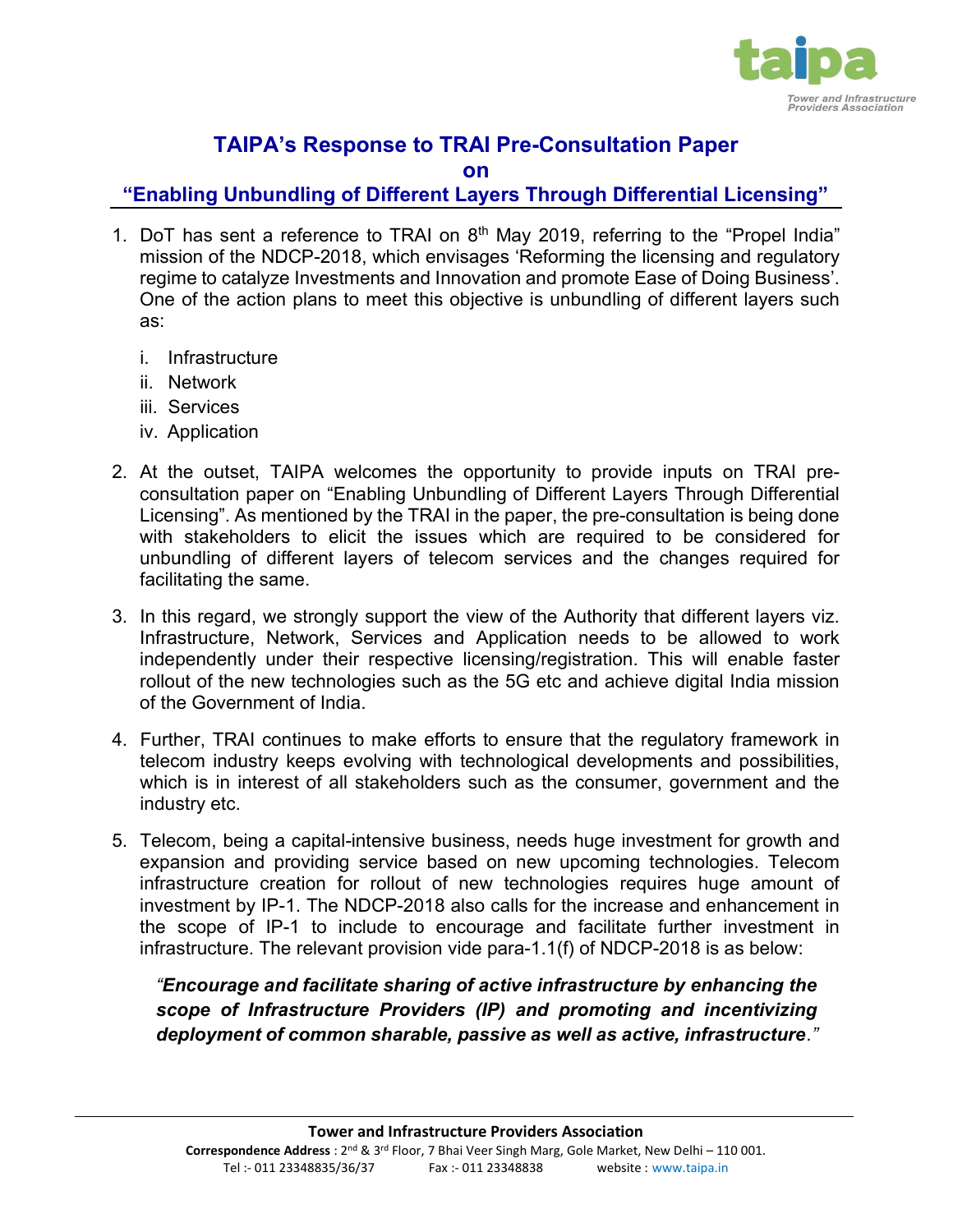

# TAIPA's Response to TRAI Pre-Consultation Paper

on

## "Enabling Unbundling of Different Layers Through Differential Licensing"

- 1. DoT has sent a reference to TRAI on  $8<sup>th</sup>$  May 2019, referring to the "Propel India" mission of the NDCP-2018, which envisages 'Reforming the licensing and regulatory regime to catalyze Investments and Innovation and promote Ease of Doing Business'. One of the action plans to meet this objective is unbundling of different layers such as:
	- i. Infrastructure
	- ii. Network
	- iii. Services
	- iv. Application
- 2. At the outset, TAIPA welcomes the opportunity to provide inputs on TRAI preconsultation paper on "Enabling Unbundling of Different Layers Through Differential Licensing". As mentioned by the TRAI in the paper, the pre-consultation is being done with stakeholders to elicit the issues which are required to be considered for unbundling of different layers of telecom services and the changes required for facilitating the same.
- 3. In this regard, we strongly support the view of the Authority that different layers viz. Infrastructure, Network, Services and Application needs to be allowed to work independently under their respective licensing/registration. This will enable faster rollout of the new technologies such as the 5G etc and achieve digital India mission of the Government of India.
- 4. Further, TRAI continues to make efforts to ensure that the regulatory framework in telecom industry keeps evolving with technological developments and possibilities, which is in interest of all stakeholders such as the consumer, government and the industry etc.
- 5. Telecom, being a capital-intensive business, needs huge investment for growth and expansion and providing service based on new upcoming technologies. Telecom infrastructure creation for rollout of new technologies requires huge amount of investment by IP-1. The NDCP-2018 also calls for the increase and enhancement in the scope of IP-1 to include to encourage and facilitate further investment in infrastructure. The relevant provision vide para-1.1(f) of NDCP-2018 is as below:

"Encourage and facilitate sharing of active infrastructure by enhancing the scope of Infrastructure Providers (IP) and promoting and incentivizing deployment of common sharable, passive as well as active, infrastructure."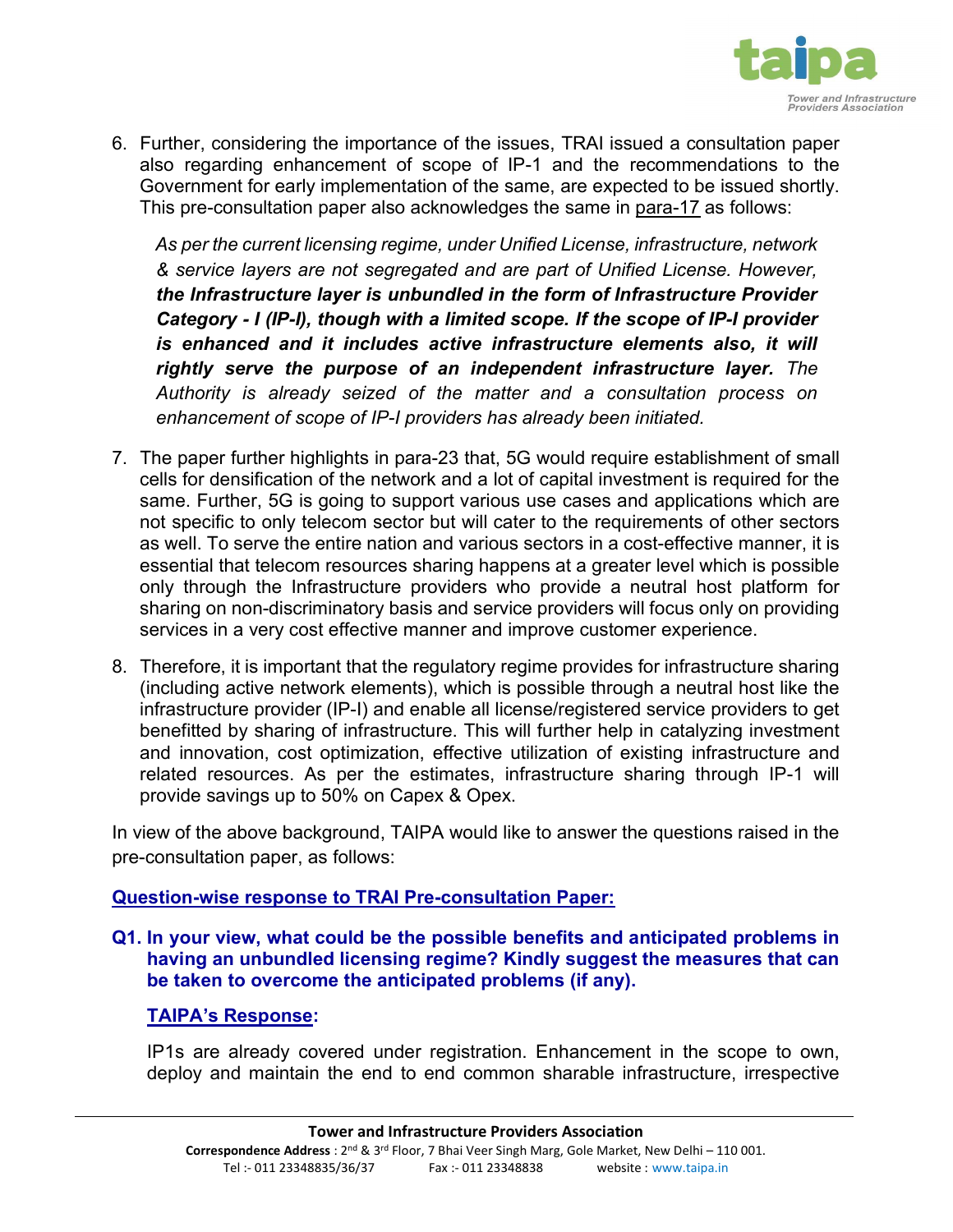

6. Further, considering the importance of the issues, TRAI issued a consultation paper also regarding enhancement of scope of IP-1 and the recommendations to the Government for early implementation of the same, are expected to be issued shortly. This pre-consultation paper also acknowledges the same in para-17 as follows:

As per the current licensing regime, under Unified License, infrastructure, network & service layers are not segregated and are part of Unified License. However, the Infrastructure layer is unbundled in the form of Infrastructure Provider Category - I (IP-I), though with a limited scope. If the scope of IP-I provider is enhanced and it includes active infrastructure elements also, it will rightly serve the purpose of an independent infrastructure layer. The Authority is already seized of the matter and a consultation process on enhancement of scope of IP-I providers has already been initiated.

- 7. The paper further highlights in para-23 that, 5G would require establishment of small cells for densification of the network and a lot of capital investment is required for the same. Further, 5G is going to support various use cases and applications which are not specific to only telecom sector but will cater to the requirements of other sectors as well. To serve the entire nation and various sectors in a cost-effective manner, it is essential that telecom resources sharing happens at a greater level which is possible only through the Infrastructure providers who provide a neutral host platform for sharing on non-discriminatory basis and service providers will focus only on providing services in a very cost effective manner and improve customer experience.
- 8. Therefore, it is important that the regulatory regime provides for infrastructure sharing (including active network elements), which is possible through a neutral host like the infrastructure provider (IP-I) and enable all license/registered service providers to get benefitted by sharing of infrastructure. This will further help in catalyzing investment and innovation, cost optimization, effective utilization of existing infrastructure and related resources. As per the estimates, infrastructure sharing through IP-1 will provide savings up to 50% on Capex & Opex.

In view of the above background, TAIPA would like to answer the questions raised in the pre-consultation paper, as follows:

### Question-wise response to TRAI Pre-consultation Paper:

Q1. In your view, what could be the possible benefits and anticipated problems in having an unbundled licensing regime? Kindly suggest the measures that can be taken to overcome the anticipated problems (if any).

### TAIPA's Response:

IP1s are already covered under registration. Enhancement in the scope to own, deploy and maintain the end to end common sharable infrastructure, irrespective